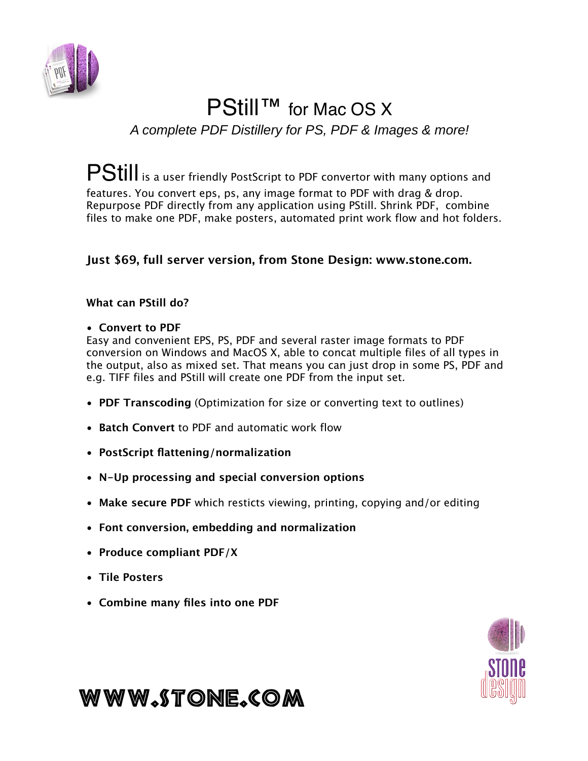

# PStill™ for Mac OS X

*A complete PDF Distillery for PS, PDF & Images & more!*

PStill is a user friendly PostScript to PDF convertor with many options and features. You convert eps, ps, any image format to PDF with drag & drop. Repurpose PDF directly from any application using PStill. Shrink PDF, combine files to make one PDF, make posters, automated print work flow and hot folders.

# **Just \$69, full server version, from Stone Design: www.stone.com.**

### **What can PStill do?**

### • **Convert to PDF**

Easy and convenient EPS, PS, PDF and several raster image formats to PDF conversion on Windows and MacOS X, able to concat multiple files of all types in the output, also as mixed set. That means you can just drop in some PS, PDF and e.g. TIFF files and PStill will create one PDF from the input set.

- **PDF Transcoding** (Optimization for size or converting text to outlines)
- **Batch Convert** to PDF and automatic work flow
- **PostScript flattening/normalization**
- **N-Up processing and special conversion options**
- **Make secure PDF** which resticts viewing, printing, copying and/or editing
- **Font conversion, embedding and normalization**
- **Produce compliant PDF/X**
- **Tile Posters**
- **Combine many files into one PDF**



# www.stone.com